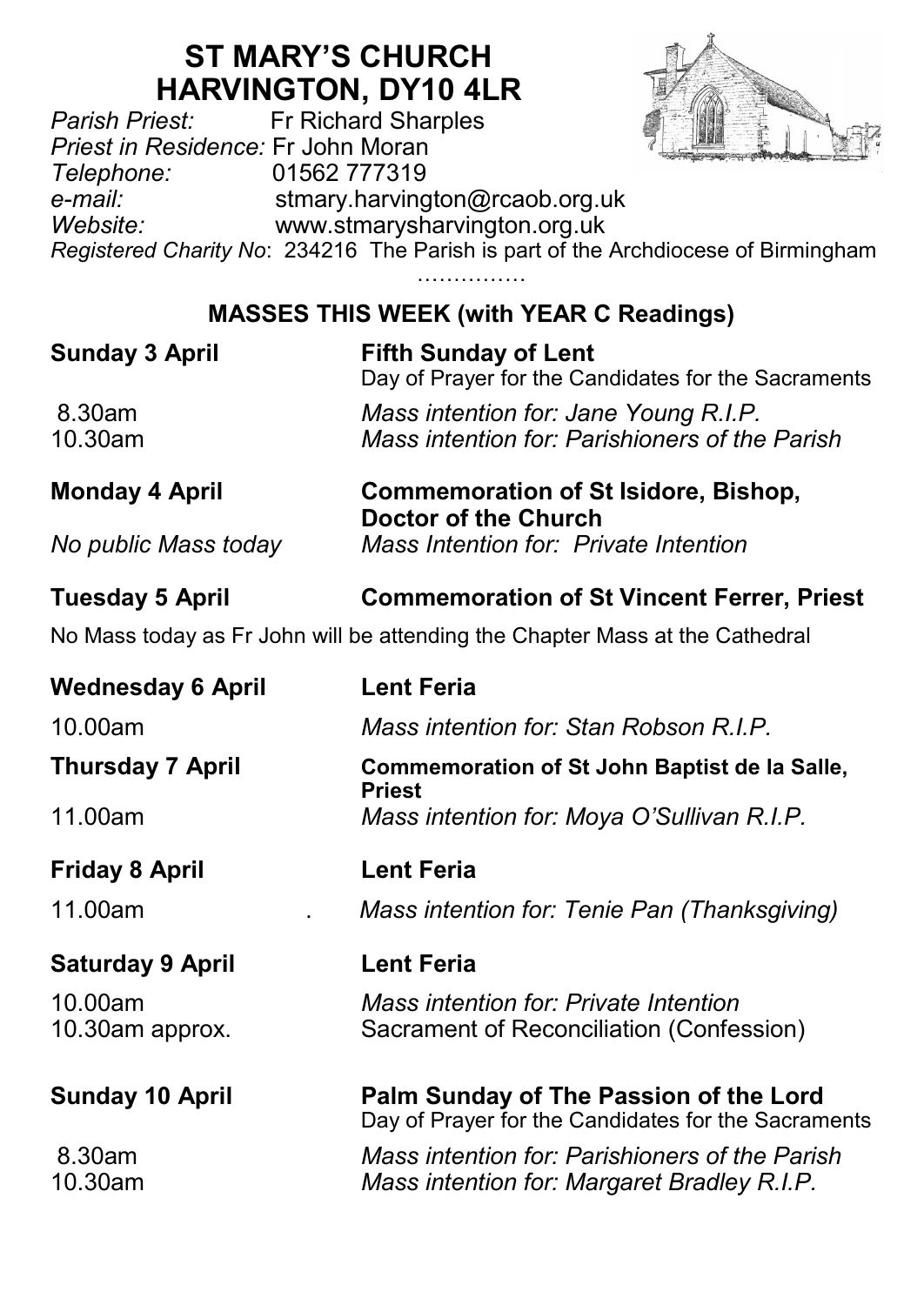## **ST MARY'S CHURCH HARVINGTON, DY10 4LR**<br>Fr Richard Sharples



*Parish Priest:* Fr Richard Sharples *Priest in Residence:* Fr John Moran *Telephone:* 01562 777319 *e-mail:* stmary.harvington@rcaob.org.uk *Website:* www.stmarysharvington.org.uk *Registered Charity No*: 234216 The Parish is part of the Archdiocese of Birmingham

> ………………… **MASSES THIS WEEK (with YEAR C Readings)**

| <b>Sunday 3 April</b>  | <b>Fifth Sunday of Lent</b><br>Day of Prayer for the Candidates for the Sacraments<br>Mass intention for: Jane Young R.I.P.<br>Mass intention for: Parishioners of the Parish |  |
|------------------------|-------------------------------------------------------------------------------------------------------------------------------------------------------------------------------|--|
| 8.30am<br>10.30am      |                                                                                                                                                                               |  |
| <b>Monday 4 April</b>  | <b>Commemoration of St Isidore, Bishop,</b><br>Doctor of the Church                                                                                                           |  |
| No public Mass today   | Mass Intention for: Private Intention                                                                                                                                         |  |
| <b>Tuesday 5 April</b> | <b>Commemoration of St Vincent Ferrer, Priest</b>                                                                                                                             |  |
|                        | No Mass today as Fr John will be attending the Chapter Mass at the Cathedral                                                                                                  |  |

| <b>Wednesday 6 April</b>   | <b>Lent Feria</b>                                                                             |  |  |
|----------------------------|-----------------------------------------------------------------------------------------------|--|--|
| 10.00am                    | Mass intention for: Stan Robson R I P                                                         |  |  |
| Thursday 7 April           | Commemoration of St John Baptist de la Salle,<br>Priest                                       |  |  |
| 11.00am                    | Mass intention for: Moya O'Sullivan R.I.P.                                                    |  |  |
| Friday 8 April             | Lent Feria                                                                                    |  |  |
| 11.00am                    | Mass intention for: Tenie Pan (Thanksgiving)                                                  |  |  |
| <b>Saturday 9 April</b>    | <b>Lent Feria</b>                                                                             |  |  |
|                            | Mass intention for: Private Intention<br>Sacrament of Reconciliation (Confession)             |  |  |
| 10.00am<br>10.30am approx. |                                                                                               |  |  |
| <b>Sunday 10 April</b>     | Palm Sunday of The Passion of the Lord<br>Day of Prayer for the Candidates for the Sacraments |  |  |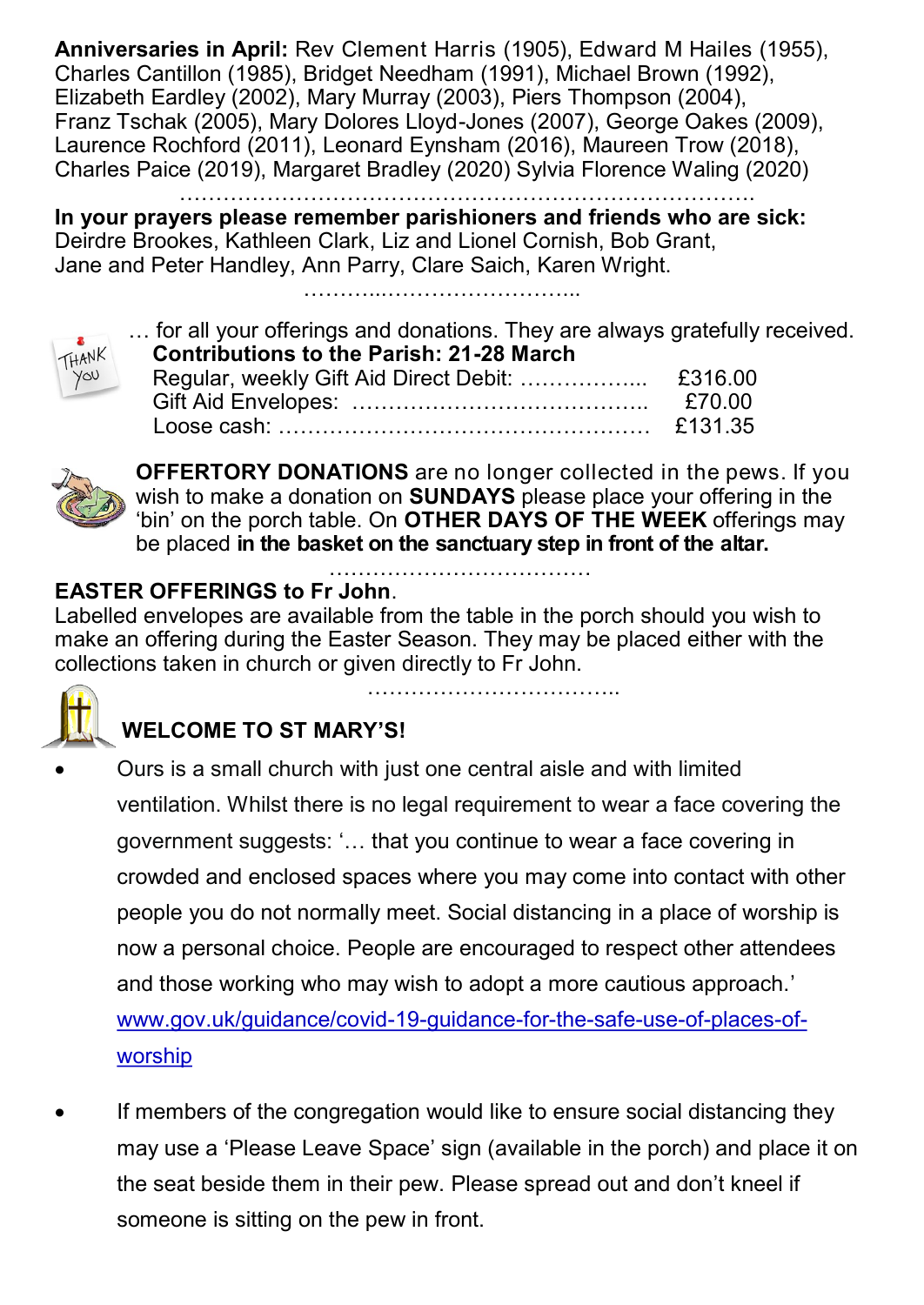**Anniversaries in April:** Rev Clement Harris (1905), Edward M Hailes (1955), Charles Cantillon (1985), Bridget Needham (1991), Michael Brown (1992), Elizabeth Eardley (2002), Mary Murray (2003), Piers Thompson (2004), Franz Tschak (2005), Mary Dolores Lloyd-Jones (2007), George Oakes (2009), Laurence Rochford (2011), Leonard Eynsham (2016), Maureen Trow (2018), Charles Paice (2019), Margaret Bradley (2020) Sylvia Florence Waling (2020)

…………………………………………………………………….

**In your prayers please remember parishioners and friends who are sick:**  Deirdre Brookes, Kathleen Clark, Liz and Lionel Cornish, Bob Grant, Jane and Peter Handley, Ann Parry, Clare Saich, Karen Wright.

………...……………………...



| $\overline{\phantom{a}}$ | for all your offerings and donations. They are always gratefully received. |         |
|--------------------------|----------------------------------------------------------------------------|---------|
| THANK                    | <b>Contributions to the Parish: 21-28 March</b>                            |         |
|                          |                                                                            |         |
|                          |                                                                            | £70.00  |
|                          |                                                                            | £131.35 |



**OFFERTORY DONATIONS** are no longer collected in the pews. If you wish to make a donation on **SUNDAYS** please place your offering in the 'bin' on the porch table. On **OTHER DAYS OF THE WEEK** offerings may be placed **in the basket on the sanctuary step in front of the altar.** 

……………………………..

## ……………………………… **EASTER OFFERINGS to Fr John**.

Labelled envelopes are available from the table in the porch should you wish to make an offering during the Easter Season. They may be placed either with the collections taken in church or given directly to Fr John.



## **WELCOME TO ST MARY'S!**

- Ours is a small church with just one central aisle and with limited ventilation. Whilst there is no legal requirement to wear a face covering the government suggests: '… that you continue to wear a face covering in crowded and enclosed spaces where you may come into contact with other people you do not normally meet. Social distancing in a place of worship is now a personal choice. People are encouraged to respect other attendees and those working who may wish to adopt a more cautious approach.' www.gov.uk/guidance/covid-19-guidance-for-the-safe-use-of-places-ofworship
- If members of the congregation would like to ensure social distancing they may use a 'Please Leave Space' sign (available in the porch) and place it on the seat beside them in their pew. Please spread out and don't kneel if someone is sitting on the pew in front.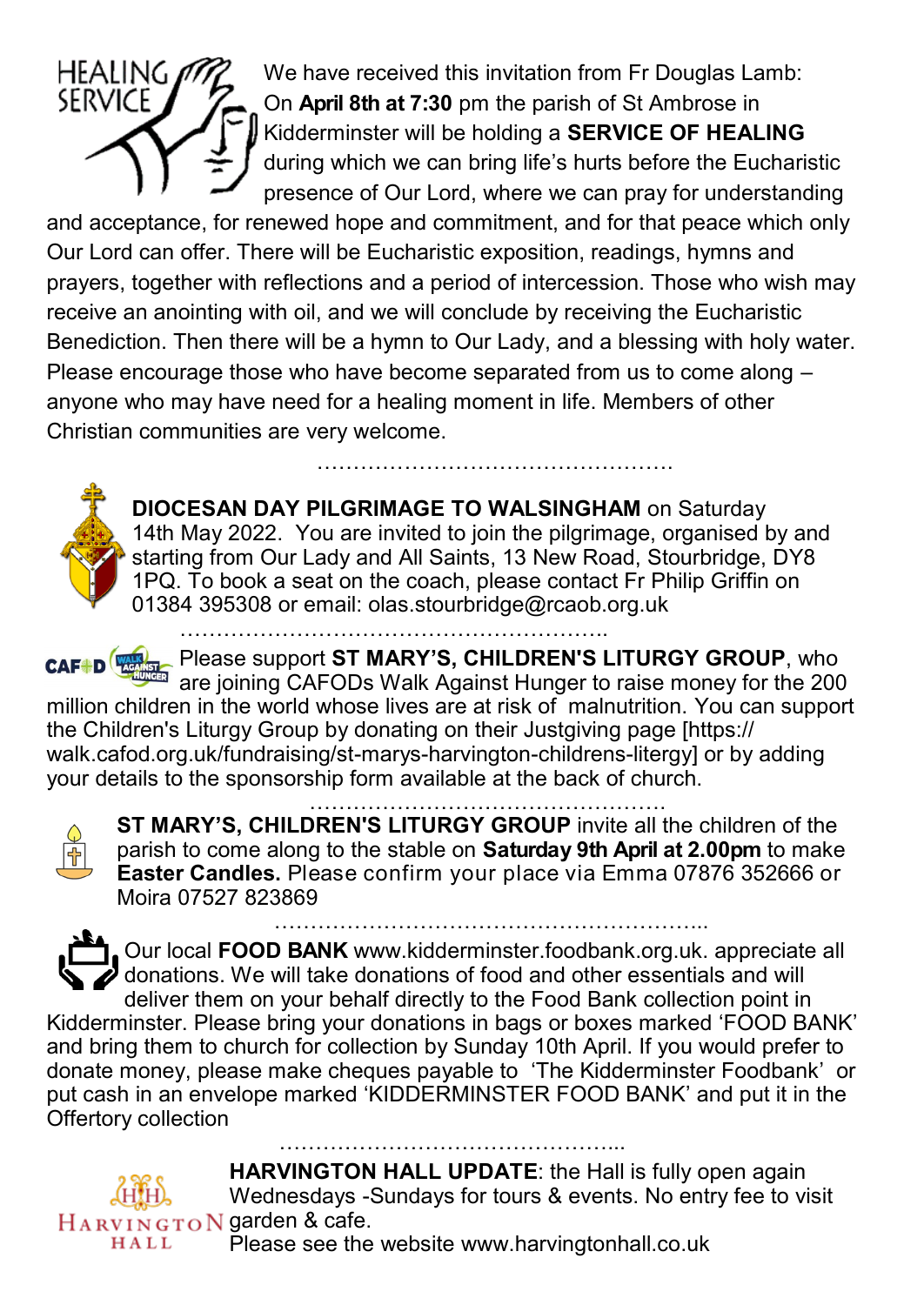

 $HEALING$   $M\%$  We have received this invitation from Fr Douglas Lamb: On **April 8th at 7:30** pm the parish of St Ambrose in Kidderminster will be holding a **SERVICE OF HEALING**  during which we can bring life's hurts before the Eucharistic presence of Our Lord, where we can pray for understanding

and acceptance, for renewed hope and commitment, and for that peace which only Our Lord can offer. There will be Eucharistic exposition, readings, hymns and prayers, together with reflections and a period of intercession. Those who wish may receive an anointing with oil, and we will conclude by receiving the Eucharistic Benediction. Then there will be a hymn to Our Lady, and a blessing with holy water. Please encourage those who have become separated from us to come along – anyone who may have need for a healing moment in life. Members of other Christian communities are very welcome.



**DIOCESAN DAY PILGRIMAGE TO WALSINGHAM** on Saturday 14th May 2022. You are invited to join the pilgrimage, organised by and starting from Our Lady and All Saints, 13 New Road, Stourbridge, DY8 1PQ. To book a seat on the coach, please contact Fr Philip Griffin on 01384 395308 or email: olas.stourbridge@rcaob.org.uk

………………………………………….

…………………………………………………..

Please support **ST MARY'S, CHILDREN'S LITURGY GROUP**, who are joining CAFODs Walk Against Hunger to raise money for the 200 million children in the world whose lives are at risk of malnutrition. You can support the Children's Liturgy Group by donating on their Justgiving page [https:// walk.cafod.org.uk/fundraising/st-marys-harvington-childrens-litergy] or by adding your details to the sponsorship form available at the back of church.



…………………………………………. **ST MARY'S, CHILDREN'S LITURGY GROUP** invite all the children of the parish to come along to the stable on **Saturday 9th April at 2.00pm** to make **Easter Candles.** Please confirm your place via Emma 07876 352666 or Moira 07527 823869

…………………………………………………... Our local **FOOD BANK** www.kidderminster.foodbank.org.uk. appreciate all donations. We will take donations of food and other essentials and will

deliver them on your behalf directly to the Food Bank collection point in Kidderminster. Please bring your donations in bags or boxes marked 'FOOD BANK' and bring them to church for collection by Sunday 10th April. If you would prefer to donate money, please make cheques payable to 'The Kidderminster Foodbank' or put cash in an envelope marked 'KIDDERMINSTER FOOD BANK' and put it in the Offertory collection

………………………………………...



**HARVINGTON HALL UPDATE**: the Hall is fully open again Wednesdays -Sundays for tours & events. No entry fee to visit

Please see the website www.harvingtonhall.co.uk